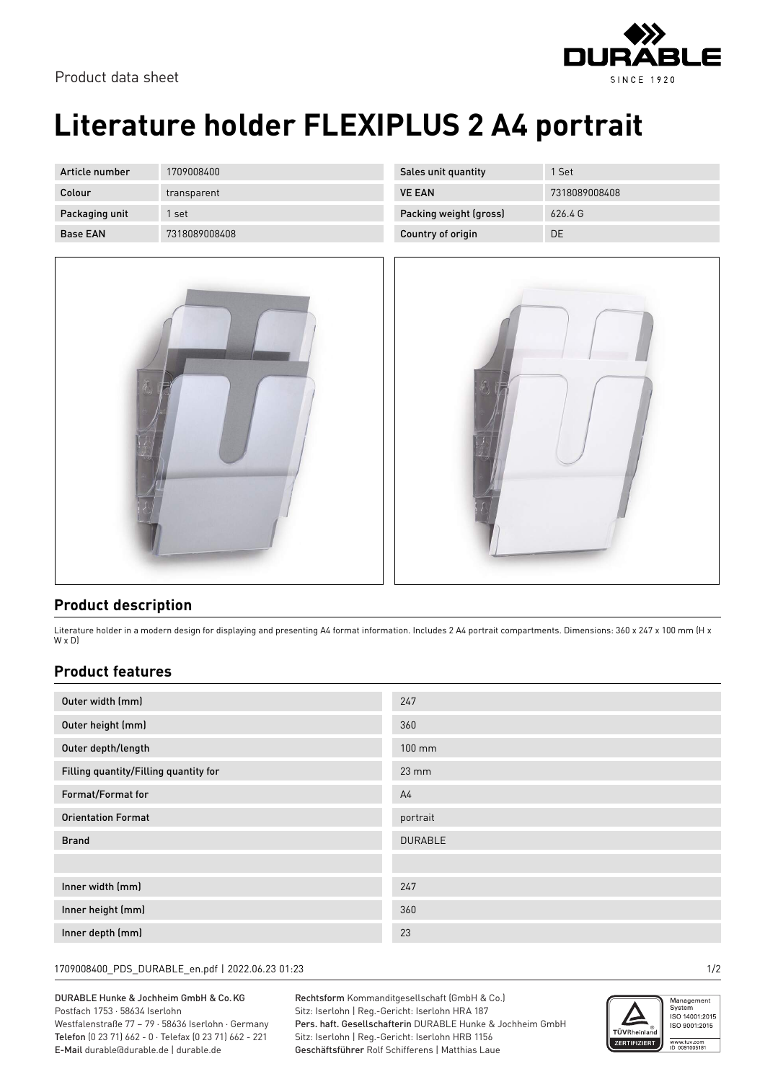

## **Literature holder FLEXIPLUS 2 A4 portrait**

| Article number  | 1709008400    |
|-----------------|---------------|
| Colour          | transparent   |
| Packaging unit  | 1 set         |
| <b>Base FAN</b> | 7318089008408 |



| Sales unit quantity    | 1 Set         |
|------------------------|---------------|
| <b>VE FAN</b>          | 7318089008408 |
| Packing weight (gross) | 6264G         |
| Country of origin      | DΕ            |



## **Product description**

Literature holder in a modern design for displaying and presenting A4 format information. Includes 2 A4 portrait compartments. Dimensions: 360 x 247 x 100 mm (H x W x D)

## **Product features**

| Outer width (mm)                      | 247               |
|---------------------------------------|-------------------|
| Outer height (mm)                     | 360               |
| Outer depth/length                    | $100 \text{ mm}$  |
| Filling quantity/Filling quantity for | $23 \, \text{mm}$ |
| Format/Format for                     | A <sub>4</sub>    |
| <b>Orientation Format</b>             | portrait          |
| <b>Brand</b>                          | <b>DURABLE</b>    |
|                                       |                   |
| Inner width (mm)                      | 247               |
| Inner height (mm)                     | 360               |
| Inner depth (mm)                      | 23                |

1709008400\_PDS\_DURABLE\_en.pdf | 2022.06.23 01:23 1/2

DURABLE Hunke & Jochheim GmbH & Co.KG Postfach 1753 · 58634 Iserlohn Westfalenstraße 77 – 79 · 58636 Iserlohn · Germany Telefon (0 23 71) 662 - 0 · Telefax (0 23 71) 662 - 221 E-Mail durable@durable.de | durable.de

Rechtsform Kommanditgesellschaft (GmbH & Co.) Sitz: Iserlohn | Reg.-Gericht: Iserlohn HRA 187 Pers. haft. Gesellschafterin DURABLE Hunke & Jochheim GmbH Sitz: Iserlohn | Reg.-Gericht: Iserlohn HRB 1156 Geschäftsführer Rolf Schifferens | Matthias Laue